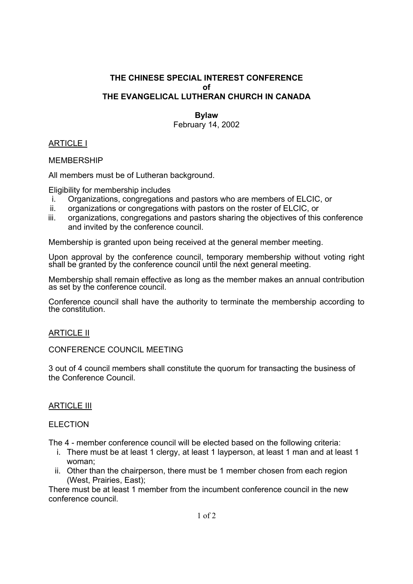## **THE CHINESE SPECIAL INTEREST CONFERENCE of THE EVANGELICAL LUTHERAN CHURCH IN CANADA**

#### **Bylaw**

February 14, 2002

# ARTICLE I

MEMBERSHIP

All members must be of Lutheran background.

Eligibility for membership includes

- i. Organizations, congregations and pastors who are members of ELCIC, or
- ii. organizations or congregations with pastors on the roster of ELCIC, or
- iii. organizations, congregations and pastors sharing the objectives of this conference and invited by the conference council.

Membership is granted upon being received at the general member meeting.

Upon approval by the conference council, temporary membership without voting right shall be granted by the conference council until the next general meeting.

Membership shall remain effective as long as the member makes an annual contribution as set by the conference council.

Conference council shall have the authority to terminate the membership according to the constitution.

## ARTICLE II

#### CONFERENCE COUNCIL MEETING

3 out of 4 council members shall constitute the quorum for transacting the business of the Conference Council.

## ARTICLE III

#### ELECTION

The 4 - member conference council will be elected based on the following criteria:

- i. There must be at least 1 clergy, at least 1 layperson, at least 1 man and at least 1 woman;
- ii. Other than the chairperson, there must be 1 member chosen from each region (West, Prairies, East);

There must be at least 1 member from the incumbent conference council in the new conference council.